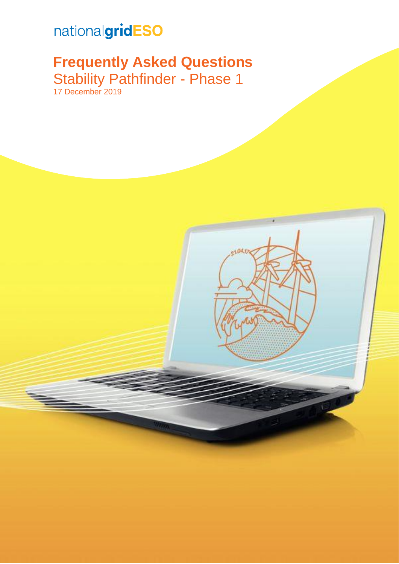# nationalgridESO

## **Frequently Asked Questions** Stability Pathfinder - Phase 1 17 December 2019

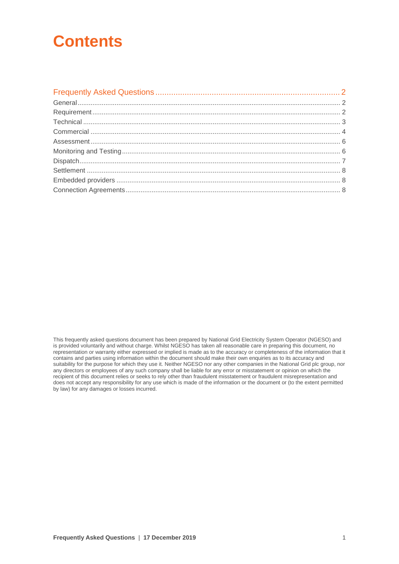## **Contents**

This frequently asked questions document has been prepared by National Grid Electricity System Operator (NGESO) and is provided voluntarily and without charge. Whilst NGESO has taken all reasonable care in preparing this document, no representation or warranty either expressed or implied is made as to the accuracy or completeness of the information that it contains and parties using information within the document should make their own enquiries as to its accuracy and suitability for the purpose for which they use it. Neither NGESO nor any other companies in the National Grid plc group, nor any directors or employees of any such company shall be liable for any error or misstatement or opinion on which the recipient of this document relies or seeks to rely other than fraudulent misstatement or fraudulent misrepresentation and does not accept any responsibility for any use which is made of the information or the document or (to the extent permitted by law) for any damages or losses incurred.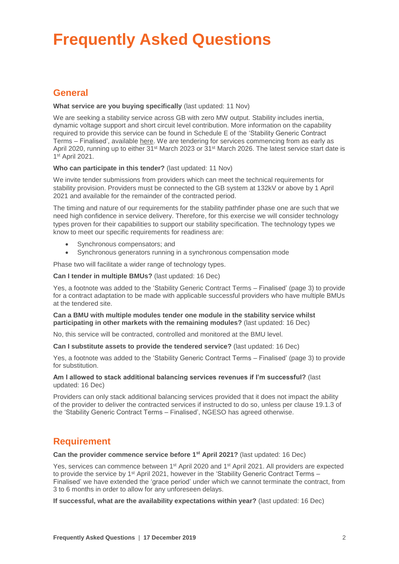# <span id="page-2-0"></span>**Frequently Asked Questions**

## <span id="page-2-1"></span>**General**

#### **What service are you buying specifically** (last updated: 11 Nov)

We are seeking a stability service across GB with zero MW output. Stability includes inertia, dynamic voltage support and short circuit level contribution. More information on the capability required to provide this service can be found in Schedule E of the 'Stability Generic Contract Terms – Finalised', available [here.](https://www.nationalgrideso.com/document/157186/download) We are tendering for services commencing from as early as April 2020, running up to either 31<sup>st</sup> March 2023 or 31<sup>st</sup> March 2026. The latest service start date is 1 st April 2021.

#### **Who can participate in this tender?** (last updated: 11 Nov)

We invite tender submissions from providers which can meet the technical requirements for stability provision. Providers must be connected to the GB system at 132kV or above by 1 April 2021 and available for the remainder of the contracted period.

The timing and nature of our requirements for the stability pathfinder phase one are such that we need high confidence in service delivery. Therefore, for this exercise we will consider technology types proven for their capabilities to support our stability specification. The technology types we know to meet our specific requirements for readiness are:

- Synchronous compensators; and
- Synchronous generators running in a synchronous compensation mode

Phase two will facilitate a wider range of technology types.

#### **Can I tender in multiple BMUs?** (last updated: 16 Dec)

Yes, a footnote was added to the 'Stability Generic Contract Terms – Finalised' (page 3) to provide for a contract adaptation to be made with applicable successful providers who have multiple BMUs at the tendered site.

#### **Can a BMU with multiple modules tender one module in the stability service whilst participating in other markets with the remaining modules?** (last updated: 16 Dec)

No, this service will be contracted, controlled and monitored at the BMU level.

**Can I substitute assets to provide the tendered service?** (last updated: 16 Dec)

Yes, a footnote was added to the 'Stability Generic Contract Terms – Finalised' (page 3) to provide for substitution.

#### **Am I allowed to stack additional balancing services revenues if I'm successful?** (last updated: 16 Dec)

Providers can only stack additional balancing services provided that it does not impact the ability of the provider to deliver the contracted services if instructed to do so, unless per clause 19.1.3 of the 'Stability Generic Contract Terms – Finalised', NGESO has agreed otherwise.

## <span id="page-2-2"></span>**Requirement**

**Can the provider commence service before 1<sup>st</sup> April 2021? (last updated: 16 Dec)** 

Yes, services can commence between 1<sup>st</sup> April 2020 and 1<sup>st</sup> April 2021. All providers are expected to provide the service by 1<sup>st</sup> April 2021, however in the 'Stability Generic Contract Terms – Finalised' we have extended the 'grace period' under which we cannot terminate the contract, from 3 to 6 months in order to allow for any unforeseen delays.

**If successful, what are the availability expectations within year?** (last updated: 16 Dec)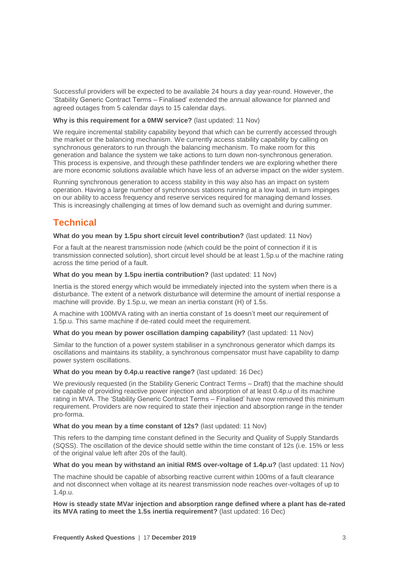Successful providers will be expected to be available 24 hours a day year-round. However, the 'Stability Generic Contract Terms – Finalised' extended the annual allowance for planned and agreed outages from 5 calendar days to 15 calendar days.

#### **Why is this requirement for a 0MW service?** (last updated: 11 Nov)

We require incremental stability capability beyond that which can be currently accessed through the market or the balancing mechanism. We currently access stability capability by calling on synchronous generators to run through the balancing mechanism. To make room for this generation and balance the system we take actions to turn down non-synchronous generation. This process is expensive, and through these pathfinder tenders we are exploring whether there are more economic solutions available which have less of an adverse impact on the wider system.

Running synchronous generation to access stability in this way also has an impact on system operation. Having a large number of synchronous stations running at a low load, in turn impinges on our ability to access frequency and reserve services required for managing demand losses. This is increasingly challenging at times of low demand such as overnight and during summer.

## <span id="page-3-0"></span>**Technical**

#### **What do you mean by 1.5pu short circuit level contribution?** (last updated: 11 Nov)

For a fault at the nearest transmission node (which could be the point of connection if it is transmission connected solution), short circuit level should be at least 1.5p.u of the machine rating across the time period of a fault.

#### **What do you mean by 1.5pu inertia contribution?** (last updated: 11 Nov)

Inertia is the stored energy which would be immediately injected into the system when there is a disturbance. The extent of a network disturbance will determine the amount of inertial response a machine will provide. By 1.5p.u, we mean an inertia constant (H) of 1.5s.

A machine with 100MVA rating with an inertia constant of 1s doesn't meet our requirement of 1.5p.u. This same machine if de-rated could meet the requirement.

#### **What do you mean by power oscillation damping capability?** (last updated: 11 Nov)

Similar to the function of a power system stabiliser in a synchronous generator which damps its oscillations and maintains its stability, a synchronous compensator must have capability to damp power system oscillations.

#### **What do you mean by 0.4p.u reactive range?** (last updated: 16 Dec)

We previously requested (in the Stability Generic Contract Terms – Draft) that the machine should be capable of providing reactive power injection and absorption of at least 0.4p.u of its machine rating in MVA. The 'Stability Generic Contract Terms – Finalised' have now removed this minimum requirement. Providers are now required to state their injection and absorption range in the tender pro-forma.

#### **What do you mean by a time constant of 12s?** (last updated: 11 Nov)

This refers to the damping time constant defined in the Security and Quality of Supply Standards (SQSS). The oscillation of the device should settle within the time constant of 12s (i.e. 15% or less of the original value left after 20s of the fault).

#### **What do you mean by withstand an initial RMS over-voltage of 1.4p.u?** (last updated: 11 Nov)

The machine should be capable of absorbing reactive current within 100ms of a fault clearance and not disconnect when voltage at its nearest transmission node reaches over-voltages of up to 1.4p.u.

**How is steady state MVar injection and absorption range defined where a plant has de-rated its MVA rating to meet the 1.5s inertia requirement?** (last updated: 16 Dec)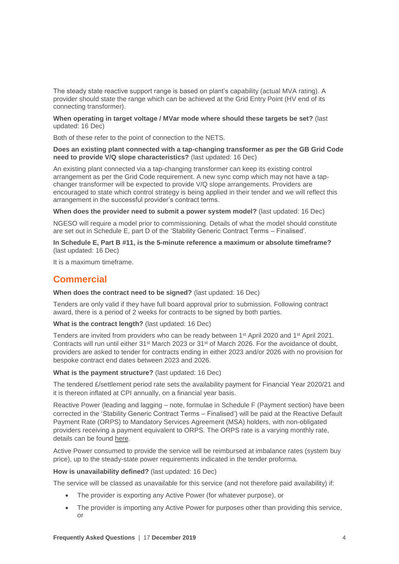The steady state reactive support range is based on plant's capability (actual MVA rating). A provider should state the range which can be achieved at the Grid Entry Point (HV end of its connecting transformer).

#### **When operating in target voltage / MVar mode where should these targets be set?** (last updated: 16 Dec)

Both of these refer to the point of connection to the NETS.

#### **Does an existing plant connected with a tap-changing transformer as per the GB Grid Code need to provide V/Q slope characteristics?** (last updated: 16 Dec)

An existing plant connected via a tap-changing transformer can keep its existing control arrangement as per the Grid Code requirement. A new sync comp which may not have a tapchanger transformer will be expected to provide V/Q slope arrangements. Providers are encouraged to state which control strategy is being applied in their tender and we will reflect this arrangement in the successful provider's contract terms.

**When does the provider need to submit a power system model?** (last updated: 16 Dec)

NGESO will require a model prior to commissioning. Details of what the model should constitute are set out in Schedule E, part D of the 'Stability Generic Contract Terms – Finalised'.

**In Schedule E, Part B #11, is the 5-minute reference a maximum or absolute timeframe?**  (last updated: 16 Dec)

It is a maximum timeframe.

## <span id="page-4-0"></span>**Commercial**

**When does the contract need to be signed?** (last updated: 16 Dec)

Tenders are only valid if they have full board approval prior to submission. Following contract award, there is a period of 2 weeks for contracts to be signed by both parties.

**What is the contract length?** (last updated: 16 Dec)

Tenders are invited from providers who can be ready between 1st April 2020 and 1st April 2021. Contracts will run until either 31st March 2023 or 31st of March 2026. For the avoidance of doubt, providers are asked to tender for contracts ending in either 2023 and/or 2026 with no provision for bespoke contract end dates between 2023 and 2026.

#### **What is the payment structure?** (last updated: 16 Dec)

The tendered £/settlement period rate sets the availability payment for Financial Year 2020/21 and it is thereon inflated at CPI annually, on a financial year basis.

Reactive Power (leading and lagging – note, formulae in Schedule F (Payment section) have been corrected in the 'Stability Generic Contract Terms – Finalised') will be paid at the Reactive Default Payment Rate (ORPS) to Mandatory Services Agreement (MSA) holders, with non-obligated providers receiving a payment equivalent to ORPS. The ORPS rate is a varying monthly rate, details can be found [here.](https://www.nationalgrideso.com/balancing-services/reactive-power-services/obligatory-reactive-power-service-orps?market-information)

Active Power consumed to provide the service will be reimbursed at imbalance rates (system buy price), up to the steady-state power requirements indicated in the tender proforma.

#### **How is unavailability defined?** (last updated: 16 Dec)

The service will be classed as unavailable for this service (and not therefore paid availability) if:

- The provider is exporting any Active Power (for whatever purpose), or
- The provider is importing any Active Power for purposes other than providing this service, or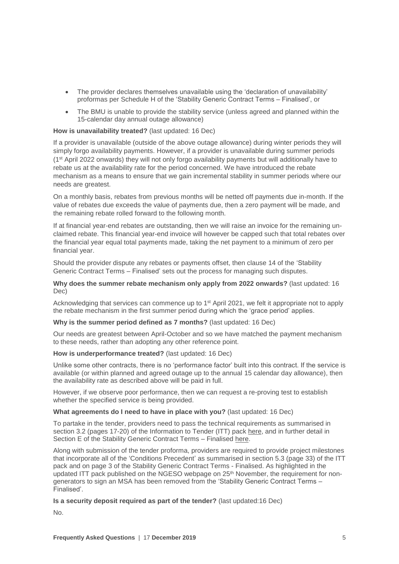- The provider declares themselves unavailable using the 'declaration of unavailability' proformas per Schedule H of the 'Stability Generic Contract Terms – Finalised', or
- The BMU is unable to provide the stability service (unless agreed and planned within the 15-calendar day annual outage allowance)

#### **How is unavailability treated?** (last updated: 16 Dec)

If a provider is unavailable (outside of the above outage allowance) during winter periods they will simply forgo availability payments. However, if a provider is unavailable during summer periods (1st April 2022 onwards) they will not only forgo availability payments but will additionally have to rebate us at the availability rate for the period concerned. We have introduced the rebate mechanism as a means to ensure that we gain incremental stability in summer periods where our needs are greatest.

On a monthly basis, rebates from previous months will be netted off payments due in-month. If the value of rebates due exceeds the value of payments due, then a zero payment will be made, and the remaining rebate rolled forward to the following month.

If at financial year-end rebates are outstanding, then we will raise an invoice for the remaining unclaimed rebate. This financial year-end invoice will however be capped such that total rebates over the financial year equal total payments made, taking the net payment to a minimum of zero per financial year.

Should the provider dispute any rebates or payments offset, then clause 14 of the 'Stability Generic Contract Terms – Finalised' sets out the process for managing such disputes.

#### **Why does the summer rebate mechanism only apply from 2022 onwards?** (last updated: 16 Dec)

Acknowledging that services can commence up to 1st April 2021, we felt it appropriate not to apply the rebate mechanism in the first summer period during which the 'grace period' applies.

#### **Why is the summer period defined as 7 months?** (last updated: 16 Dec)

Our needs are greatest between April-October and so we have matched the payment mechanism to these needs, rather than adopting any other reference point.

#### **How is underperformance treated?** (last updated: 16 Dec)

Unlike some other contracts, there is no 'performance factor' built into this contract. If the service is available (or within planned and agreed outage up to the annual 15 calendar day allowance), then the availability rate as described above will be paid in full.

However, if we observe poor performance, then we can request a re-proving test to establish whether the specified service is being provided.

#### **What agreements do I need to have in place with you?** (last updated: 16 Dec)

To partake in the tender, providers need to pass the technical requirements as summarised in section 3.2 (pages 17-20) of the Information to Tender (ITT) pack [here,](https://www.nationalgrideso.com/document/157176/download) and in further detail in Section E of the Stability Generic Contract Terms – Finalised [here.](https://www.nationalgrideso.com/document/157186/download)

Along with submission of the tender proforma, providers are required to provide project milestones that incorporate all of the 'Conditions Precedent' as summarised in section 5.3 (page 33) of the ITT pack and on page 3 of the Stability Generic Contract Terms - Finalised. As highlighted in the updated ITT pack published on the NGESO webpage on 25<sup>th</sup> November, the requirement for nongenerators to sign an MSA has been removed from the 'Stability Generic Contract Terms – Finalised'.

#### **Is a security deposit required as part of the tender?** (last updated:16 Dec)

 $N<sub>0</sub>$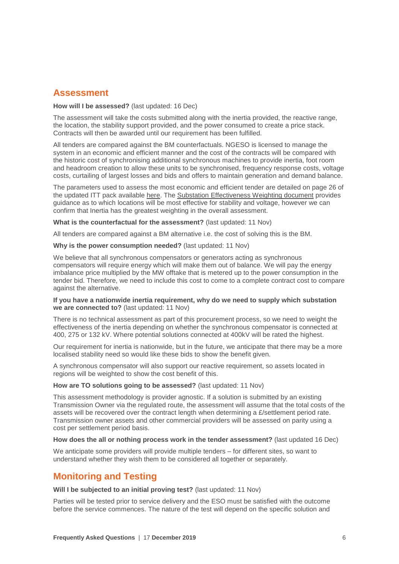### <span id="page-6-0"></span>**Assessment**

#### **How will I be assessed?** (last updated: 16 Dec)

The assessment will take the costs submitted along with the inertia provided, the reactive range, the location, the stability support provided, and the power consumed to create a price stack. Contracts will then be awarded until our requirement has been fulfilled.

All tenders are compared against the BM counterfactuals. NGESO is licensed to manage the system in an economic and efficient manner and the cost of the contracts will be compared with the historic cost of synchronising additional synchronous machines to provide inertia, foot room and headroom creation to allow these units to be synchronised, frequency response costs, voltage costs, curtailing of largest losses and bids and offers to maintain generation and demand balance.

The parameters used to assess the most economic and efficient tender are detailed on page 26 of the updated ITT pack available [here.](https://www.nationalgrideso.com/document/157176/download) The [Substation Effectiveness Weighting document](https://www.nationalgrideso.com/document/155931/download) provides guidance as to which locations will be most effective for stability and voltage, however we can confirm that Inertia has the greatest weighting in the overall assessment.

**What is the counterfactual for the assessment?** (last updated: 11 Nov)

All tenders are compared against a BM alternative i.e. the cost of solving this is the BM.

#### **Why is the power consumption needed?** (last updated: 11 Nov)

We believe that all synchronous compensators or generators acting as synchronous compensators will require energy which will make them out of balance. We will pay the energy imbalance price multiplied by the MW offtake that is metered up to the power consumption in the tender bid. Therefore, we need to include this cost to come to a complete contract cost to compare against the alternative.

#### **If you have a nationwide inertia requirement, why do we need to supply which substation we are connected to?** (last updated: 11 Nov)

There is no technical assessment as part of this procurement process, so we need to weight the effectiveness of the inertia depending on whether the synchronous compensator is connected at 400, 275 or 132 kV. Where potential solutions connected at 400kV will be rated the highest.

Our requirement for inertia is nationwide, but in the future, we anticipate that there may be a more localised stability need so would like these bids to show the benefit given.

A synchronous compensator will also support our reactive requirement, so assets located in regions will be weighted to show the cost benefit of this.

#### **How are TO solutions going to be assessed?** (last updated: 11 Nov)

This assessment methodology is provider agnostic. If a solution is submitted by an existing Transmission Owner via the regulated route, the assessment will assume that the total costs of the assets will be recovered over the contract length when determining a  $E$ /settlement period rate. Transmission owner assets and other commercial providers will be assessed on parity using a cost per settlement period basis.

#### **How does the all or nothing process work in the tender assessment?** (last updated 16 Dec)

We anticipate some providers will provide multiple tenders – for different sites, so want to understand whether they wish them to be considered all together or separately.

## <span id="page-6-1"></span>**Monitoring and Testing**

**Will I be subjected to an initial proving test?** (last updated: 11 Nov)

Parties will be tested prior to service delivery and the ESO must be satisfied with the outcome before the service commences. The nature of the test will depend on the specific solution and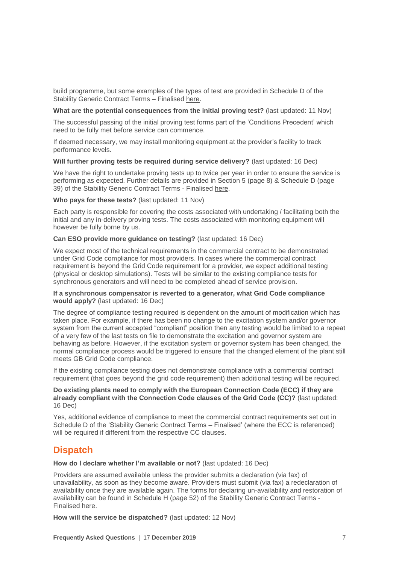build programme, but some examples of the types of test are provided in Schedule D of the Stability Generic Contract Terms - Finalised [here.](https://www.nationalgrideso.com/document/157186/download)

#### **What are the potential consequences from the initial proving test?** (last updated: 11 Nov)

The successful passing of the initial proving test forms part of the 'Conditions Precedent' which need to be fully met before service can commence.

If deemed necessary, we may install monitoring equipment at the provider's facility to track performance levels.

#### **Will further proving tests be required during service delivery?** (last updated: 16 Dec)

We have the right to undertake proving tests up to twice per year in order to ensure the service is performing as expected. Further details are provided in Section 5 (page 8) & Schedule D (page 39) of the Stability Generic Contract Terms - Finalised [here.](https://www.nationalgrideso.com/document/157186/download)

#### **Who pays for these tests?** (last updated: 11 Nov)

Each party is responsible for covering the costs associated with undertaking / facilitating both the initial and any in-delivery proving tests. The costs associated with monitoring equipment will however be fully borne by us.

#### **Can ESO provide more guidance on testing?** (last updated: 16 Dec)

We expect most of the technical requirements in the commercial contract to be demonstrated under Grid Code compliance for most providers. In cases where the commercial contract requirement is beyond the Grid Code requirement for a provider, we expect additional testing (physical or desktop simulations). Tests will be similar to the existing compliance tests for synchronous generators and will need to be completed ahead of service provision.

#### **If a synchronous compensator is reverted to a generator, what Grid Code compliance would apply?** (last updated: 16 Dec)

The degree of compliance testing required is dependent on the amount of modification which has taken place. For example, if there has been no change to the excitation system and/or governor system from the current accepted "compliant" position then any testing would be limited to a repeat of a very few of the last tests on file to demonstrate the excitation and governor system are behaving as before. However, if the excitation system or governor system has been changed, the normal compliance process would be triggered to ensure that the changed element of the plant still meets GB Grid Code compliance.

If the existing compliance testing does not demonstrate compliance with a commercial contract requirement (that goes beyond the grid code requirement) then additional testing will be required.

#### **Do existing plants need to comply with the European Connection Code (ECC) if they are already compliant with the Connection Code clauses of the Grid Code (CC)?** (last updated: 16 Dec)

Yes, additional evidence of compliance to meet the commercial contract requirements set out in Schedule D of the 'Stability Generic Contract Terms – Finalised' (where the ECC is referenced) will be required if different from the respective CC clauses.

## <span id="page-7-0"></span>**Dispatch**

**How do I declare whether I'm available or not?** (last updated: 16 Dec)

Providers are assumed available unless the provider submits a declaration (via fax) of unavailability, as soon as they become aware. Providers must submit (via fax) a redeclaration of availability once they are available again. The forms for declaring un-availability and restoration of availability can be found in Schedule H (page 52) of the Stability Generic Contract Terms - Finalised [here.](https://www.nationalgrideso.com/document/157186/download)

**How will the service be dispatched?** (last updated: 12 Nov)